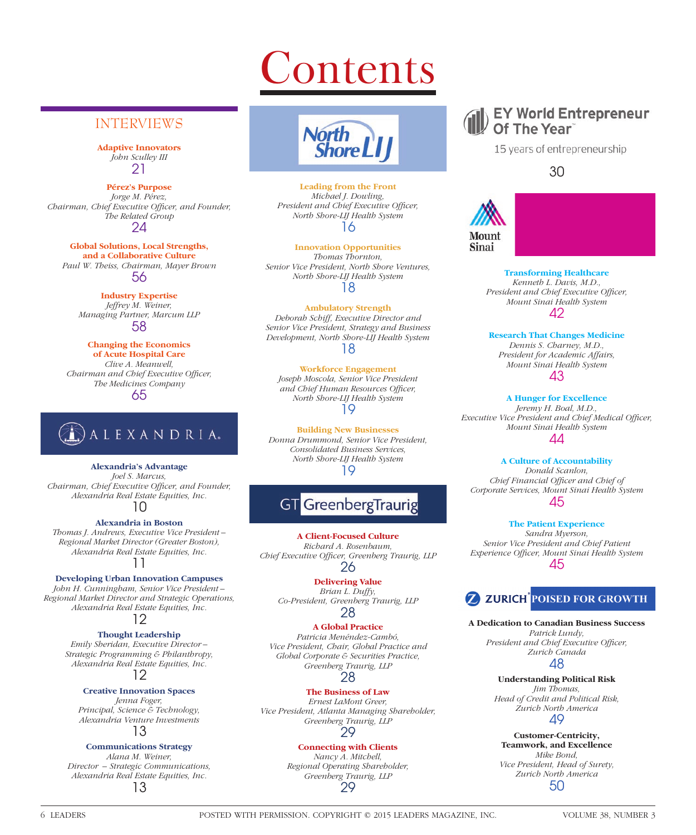# **Contents**

## INTERVIEWS

**Adaptive Innovators** *John Sculley III* 21

**Pérez's Purpose** *Jorge M. Pérez, Chairman, Chief Executive Officer, and Founder, The Related Group* 24

**Global Solutions, Local Strengths, and a Collaborative Culture** *Paul W. Theiss, Chairman, Mayer Brown* 56

> **Industry Expertise** *Jeffrey M. Weiner, Managing Partner, Marcum LLP* 58

**Changing the Economics of Acute Hospital Care** *Clive A. Meanwell, Chairman and Chief Executive Officer, The Medicines Company* 65



**Alexandria's Advantage**

*Joel S. Marcus, Chairman, Chief Executive Officer, and Founder, Alexandria Real Estate Equities, Inc.* 10

**Alexandria in Boston** *Thomas J. Andrews, Executive Vice President – Regional Market Director (Greater Boston), Alexandria Real Estate Equities, Inc.* 11

### **Developing Urban Innovation Campuses**

*John H. Cunningham, Senior Vice President – Regional Market Director and Strategic Operations, Alexandria Real Estate Equities, Inc.*

### 12

**Thought Leadership**

*Emily Sheridan, Executive Director – Strategic Programming & Philanthropy, Alexandria Real Estate Equities, Inc.* 12

### **Creative Innovation Spaces**

*Jenna Foger, Principal, Science & Technology, Alexandria Venture Investments*

### 13

### **Communications Strategy**

*Alana M. Weiner, Director – Strategic Communications, Alexandria Real Estate Equities, Inc.* 13



**Leading from the Front** *Michael J. Dowling, President and Chief Executive Officer, North Shore-LIJ Health System* 16

**Innovation Opportunities** *Thomas Thornton, Senior Vice President, North Shore Ventures, North Shore-LIJ Health System* 18

**Ambulatory Strength** *Deborah Schiff, Executive Director and Senior Vice President, Strategy and Business Development, North Shore-LIJ Health System* 18

**Workforce Engagement** *Joseph Moscola, Senior Vice President and Chief Human Resources Officer, North Shore-LIJ Health System* 19

**Building New Businesses** *Donna Drummond, Senior Vice President, Consolidated Business Services, North Shore-LIJ Health System* 19

## **GT** GreenbergTraurig

**A Client-Focused Culture** *Richard A. Rosenbaum,*  Chief Executive Officer, Greenberg Traurig, LLP 26

> **Delivering Value** *Brian L. Duffy, Co-President, Greenberg Traurig, LLP* 28

### **A Global Practice**

*Patricia Menéndez-Cambó, Vice President, Chair, Global Practice and Global Corporate & Securities Practice, Greenberg Traurig, LLP* 28

### **The Business of Law**

*Ernest LaMont Greer, Vice President, Atlanta Managing Shareholder, Greenberg Traurig, LLP* 29

### **Connecting with Clients**

*Nancy A. Mitchell, Regional Operating Shareholder, Greenberg Traurig, LLP* 29



15 years of entrepreneurship

30



**Transforming Healthcare** *Kenneth L. Davis, M.D., President and Chief Executive Officer, Mount Sinai Health System* 42

**Research That Changes Medicine** *Dennis S. Charney, M.D., President for Academic Affairs, Mount Sinai Health System* 43

### **A Hunger for Excellence** *Jeremy H. Boal, M.D.,*  **Executive Vice President and Chief Medical Officer,** *Mount Sinai Health System* 44

**A Culture of Accountability**

*Donald Scanlon, Chief Financial Offi cer and Chief of Corporate Services, Mount Sinai Health System* 45

**The Patient Experience** *Sandra Myerson, Senior Vice President and Chief Patient Experience Officer, Mount Sinai Health System* 45

## **Z ZURICH POISED FOR GROWTH**

**A Dedication to Canadian Business Success**

*Patrick Lundy, President and Chief Executive Officer, Zurich Canada* 48

**Understanding Political Risk** *Jim Thomas, Head of Credit and Political Risk, Zurich North America*

49

**Customer-Centricity, Teamwork, and Excellence** *Mike Bond, Vice President, Head of Surety, Zurich North America*

50